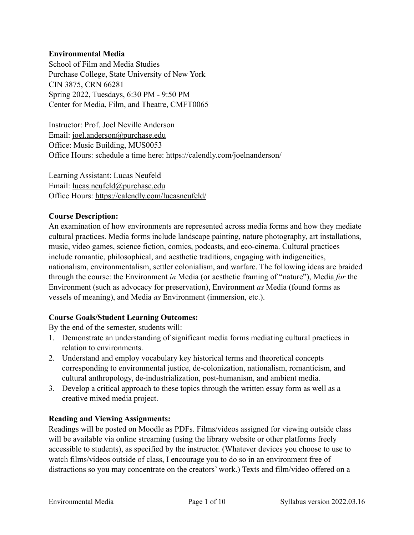#### **Environmental Media**

School of Film and Media Studies Purchase College, State University of New York CIN 3875, CRN 66281 Spring 2022, Tuesdays, 6:30 PM - 9:50 PM Center for Media, Film, and Theatre, CMFT0065

Instructor: Prof. Joel Neville Anderson Email: [joel.anderson@purchase.edu](mailto:joel.anderson@purchase.edu) Office: Music Building, MUS0053 Office Hours: schedule a time here: <https://calendly.com/joelnanderson/>

Learning Assistant: Lucas Neufeld Email: [lucas.neufeld@purchase.edu](mailto:lucas.neufeld@purchase.edu) Office Hours:<https://calendly.com/lucasneufeld/>

#### **Course Description:**

An examination of how environments are represented across media forms and how they mediate cultural practices. Media forms include landscape painting, nature photography, art installations, music, video games, science fiction, comics, podcasts, and eco-cinema. Cultural practices include romantic, philosophical, and aesthetic traditions, engaging with indigeneities, nationalism, environmentalism, settler colonialism, and warfare. The following ideas are braided through the course: the Environment *in* Media (or aesthetic framing of "nature"), Media *for* the Environment (such as advocacy for preservation), Environment *as* Media (found forms as vessels of meaning), and Media *as* Environment (immersion, etc.).

#### **Course Goals/Student Learning Outcomes:**

By the end of the semester, students will:

- 1. Demonstrate an understanding of significant media forms mediating cultural practices in relation to environments.
- 2. Understand and employ vocabulary key historical terms and theoretical concepts corresponding to environmental justice, de-colonization, nationalism, romanticism, and cultural anthropology, de-industrialization, post-humanism, and ambient media.
- 3. Develop a critical approach to these topics through the written essay form as well as a creative mixed media project.

#### **Reading and Viewing Assignments:**

Readings will be posted on Moodle as PDFs. Films/videos assigned for viewing outside class will be available via online streaming (using the library website or other platforms freely accessible to students), as specified by the instructor. (Whatever devices you choose to use to watch films/videos outside of class, I encourage you to do so in an environment free of distractions so you may concentrate on the creators' work.) Texts and film/video offered on a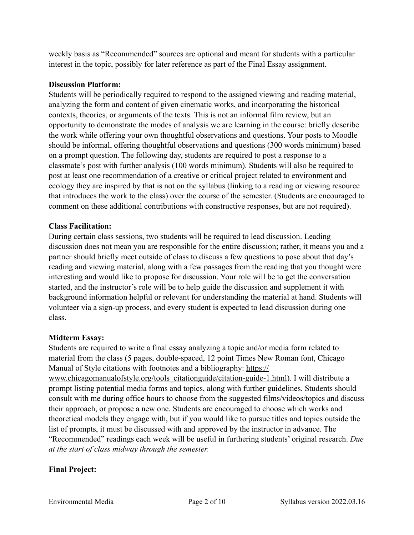weekly basis as "Recommended" sources are optional and meant for students with a particular interest in the topic, possibly for later reference as part of the Final Essay assignment.

#### **Discussion Platform:**

Students will be periodically required to respond to the assigned viewing and reading material, analyzing the form and content of given cinematic works, and incorporating the historical contexts, theories, or arguments of the texts. This is not an informal film review, but an opportunity to demonstrate the modes of analysis we are learning in the course: briefly describe the work while offering your own thoughtful observations and questions. Your posts to Moodle should be informal, offering thoughtful observations and questions (300 words minimum) based on a prompt question. The following day, students are required to post a response to a classmate's post with further analysis (100 words minimum). Students will also be required to post at least one recommendation of a creative or critical project related to environment and ecology they are inspired by that is not on the syllabus (linking to a reading or viewing resource that introduces the work to the class) over the course of the semester. (Students are encouraged to comment on these additional contributions with constructive responses, but are not required).

#### **Class Facilitation:**

During certain class sessions, two students will be required to lead discussion. Leading discussion does not mean you are responsible for the entire discussion; rather, it means you and a partner should briefly meet outside of class to discuss a few questions to pose about that day's reading and viewing material, along with a few passages from the reading that you thought were interesting and would like to propose for discussion. Your role will be to get the conversation started, and the instructor's role will be to help guide the discussion and supplement it with background information helpful or relevant for understanding the material at hand. Students will volunteer via a sign-up process, and every student is expected to lead discussion during one class.

#### **Midterm Essay:**

Students are required to write a final essay analyzing a topic and/or media form related to material from the class (5 pages, double-spaced, 12 point Times New Roman font, Chicago Manual of Style citations with footnotes and a bibliography: [https://](https://www.chicagomanualofstyle.org/tools_citationguide/citation-guide-1.html) [www.chicagomanualofstyle.org/tools\\_citationguide/citation-guide-1.html\)](https://www.chicagomanualofstyle.org/tools_citationguide/citation-guide-1.html). I will distribute a prompt listing potential media forms and topics, along with further guidelines. Students should consult with me during office hours to choose from the suggested films/videos/topics and discuss their approach, or propose a new one. Students are encouraged to choose which works and theoretical models they engage with, but if you would like to pursue titles and topics outside the list of prompts, it must be discussed with and approved by the instructor in advance. The "Recommended" readings each week will be useful in furthering students' original research. *Due at the start of class midway through the semester.* 

#### **Final Project:**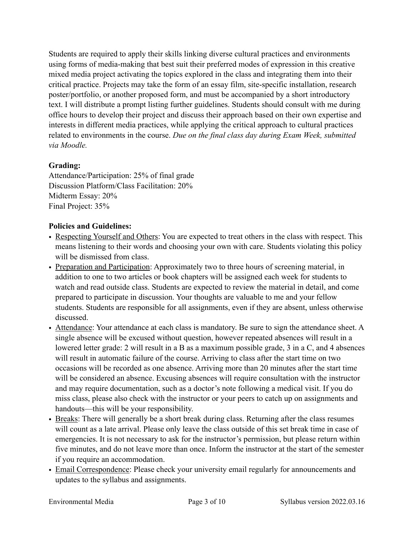Students are required to apply their skills linking diverse cultural practices and environments using forms of media-making that best suit their preferred modes of expression in this creative mixed media project activating the topics explored in the class and integrating them into their critical practice. Projects may take the form of an essay film, site-specific installation, research poster/portfolio, or another proposed form, and must be accompanied by a short introductory text. I will distribute a prompt listing further guidelines. Students should consult with me during office hours to develop their project and discuss their approach based on their own expertise and interests in different media practices, while applying the critical approach to cultural practices related to environments in the course. *Due on the final class day during Exam Week, submitted via Moodle.*

# **Grading:**

Attendance/Participation: 25% of final grade Discussion Platform/Class Facilitation: 20% Midterm Essay: 20% Final Project: 35%

## **Policies and Guidelines:**

- Respecting Yourself and Others: You are expected to treat others in the class with respect. This means listening to their words and choosing your own with care. Students violating this policy will be dismissed from class.
- Preparation and Participation: Approximately two to three hours of screening material, in addition to one to two articles or book chapters will be assigned each week for students to watch and read outside class. Students are expected to review the material in detail, and come prepared to participate in discussion. Your thoughts are valuable to me and your fellow students. Students are responsible for all assignments, even if they are absent, unless otherwise discussed.
- Attendance: Your attendance at each class is mandatory. Be sure to sign the attendance sheet. A single absence will be excused without question, however repeated absences will result in a lowered letter grade: 2 will result in a B as a maximum possible grade, 3 in a C, and 4 absences will result in automatic failure of the course. Arriving to class after the start time on two occasions will be recorded as one absence. Arriving more than 20 minutes after the start time will be considered an absence. Excusing absences will require consultation with the instructor and may require documentation, such as a doctor's note following a medical visit. If you do miss class, please also check with the instructor or your peers to catch up on assignments and handouts—this will be your responsibility.
- Breaks: There will generally be a short break during class. Returning after the class resumes will count as a late arrival. Please only leave the class outside of this set break time in case of emergencies. It is not necessary to ask for the instructor's permission, but please return within five minutes, and do not leave more than once. Inform the instructor at the start of the semester if you require an accommodation.
- Email Correspondence: Please check your university email regularly for announcements and updates to the syllabus and assignments.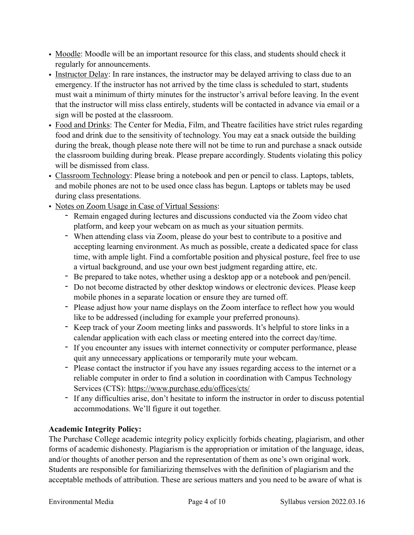- Moodle: Moodle will be an important resource for this class, and students should check it regularly for announcements.
- Instructor Delay: In rare instances, the instructor may be delayed arriving to class due to an emergency. If the instructor has not arrived by the time class is scheduled to start, students must wait a minimum of thirty minutes for the instructor's arrival before leaving. In the event that the instructor will miss class entirely, students will be contacted in advance via email or a sign will be posted at the classroom.
- Food and Drinks: The Center for Media, Film, and Theatre facilities have strict rules regarding food and drink due to the sensitivity of technology. You may eat a snack outside the building during the break, though please note there will not be time to run and purchase a snack outside the classroom building during break. Please prepare accordingly. Students violating this policy will be dismissed from class.
- Classroom Technology: Please bring a notebook and pen or pencil to class. Laptops, tablets, and mobile phones are not to be used once class has begun. Laptops or tablets may be used during class presentations.
- Notes on Zoom Usage in Case of Virtual Sessions:
	- Remain engaged during lectures and discussions conducted via the Zoom video chat platform, and keep your webcam on as much as your situation permits.
	- When attending class via Zoom, please do your best to contribute to a positive and accepting learning environment. As much as possible, create a dedicated space for class time, with ample light. Find a comfortable position and physical posture, feel free to use a virtual background, and use your own best judgment regarding attire, etc.
	- Be prepared to take notes, whether using a desktop app or a notebook and pen/pencil.
	- Do not become distracted by other desktop windows or electronic devices. Please keep mobile phones in a separate location or ensure they are turned off.
	- Please adjust how your name displays on the Zoom interface to reflect how you would like to be addressed (including for example your preferred pronouns).
	- Keep track of your Zoom meeting links and passwords. It's helpful to store links in a calendar application with each class or meeting entered into the correct day/time.
	- If you encounter any issues with internet connectivity or computer performance, please quit any unnecessary applications or temporarily mute your webcam.
	- Please contact the instructor if you have any issues regarding access to the internet or a reliable computer in order to find a solution in coordination with Campus Technology Services (CTS):<https://www.purchase.edu/offices/cts/>
	- If any difficulties arise, don't hesitate to inform the instructor in order to discuss potential accommodations. We'll figure it out together.

# **Academic Integrity Policy:**

The Purchase College academic integrity policy explicitly forbids cheating, plagiarism, and other forms of academic dishonesty. Plagiarism is the appropriation or imitation of the language, ideas, and/or thoughts of another person and the representation of them as one's own original work. Students are responsible for familiarizing themselves with the definition of plagiarism and the acceptable methods of attribution. These are serious matters and you need to be aware of what is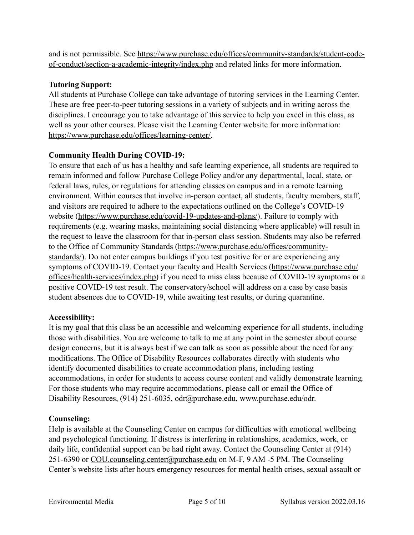and is not permissible. See [https://www.purchase.edu/offices/community-standards/student-code](https://www.purchase.edu/offices/community-standards/student-code-of-conduct/section-a-academic-integrity/index.php)[of-conduct/section-a-academic-integrity/index.php](https://www.purchase.edu/offices/community-standards/student-code-of-conduct/section-a-academic-integrity/index.php) and related links for more information.

## **Tutoring Support:**

All students at Purchase College can take advantage of tutoring services in the Learning Center. These are free peer-to-peer tutoring sessions in a variety of subjects and in writing across the disciplines. I encourage you to take advantage of this service to help you excel in this class, as well as your other courses. Please visit the Learning Center website for more information: [https://www.purchase.edu/offices/learning-center/.](https://www.purchase.edu/offices/learning-center/)

## **Community Health During COVID-19:**

To ensure that each of us has a healthy and safe learning experience, all students are required to remain informed and follow Purchase College Policy and/or any departmental, local, state, or federal laws, rules, or regulations for attending classes on campus and in a remote learning environment. Within courses that involve in-person contact, all students, faculty members, staff, and visitors are required to adhere to the expectations outlined on the College's COVID-19 website ([https://www.purchase.edu/covid-19-updates-and-plans/\)](https://www.purchase.edu/covid-19-updates-and-plans/). Failure to comply with requirements (e.g. wearing masks, maintaining social distancing where applicable) will result in the request to leave the classroom for that in-person class session. Students may also be referred to the Office of Community Standards [\(https://www.purchase.edu/offices/community](https://www.purchase.edu/offices/community-standards/)[standards/\)](https://www.purchase.edu/offices/community-standards/). Do not enter campus buildings if you test positive for or are experiencing any symptoms of COVID-19. Contact your faculty and Health Services ([https://www.purchase.edu/](https://www.purchase.edu/offices/health-services/index.php) [offices/health-services/index.php\)](https://www.purchase.edu/offices/health-services/index.php) if you need to miss class because of COVID-19 symptoms or a positive COVID-19 test result. The conservatory/school will address on a case by case basis student absences due to COVID-19, while awaiting test results, or during quarantine.

#### **Accessibility:**

It is my goal that this class be an accessible and welcoming experience for all students, including those with disabilities. You are welcome to talk to me at any point in the semester about course design concerns, but it is always best if we can talk as soon as possible about the need for any modifications. The Office of Disability Resources collaborates directly with students who identify documented disabilities to create accommodation plans, including testing accommodations, in order for students to access course content and validly demonstrate learning. For those students who may require accommodations, please call or email the Office of Disability Resources, (914) 251-6035, odr@purchase.edu, [www.purchase.edu/odr.](http://www.purchase.edu/odr)

#### **Counseling:**

Help is available at the Counseling Center on campus for difficulties with emotional wellbeing and psychological functioning. If distress is interfering in relationships, academics, work, or daily life, confidential support can be had right away. Contact the Counseling Center at (914) 251-6390 or [COU.counseling.center@purchase.edu](mailto:COU.counseling.center@purchase.edu) on M-F, 9 AM -5 PM. The Counseling Center's website lists after hours emergency resources for mental health crises, sexual assault or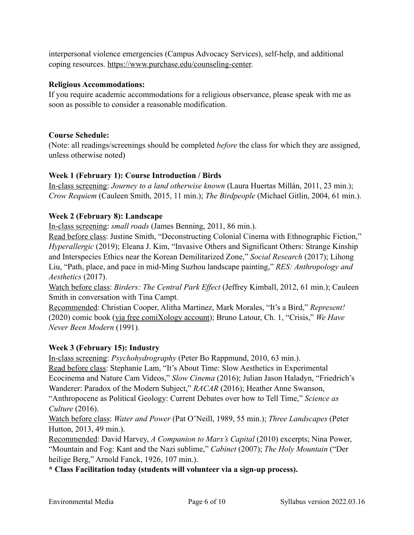interpersonal violence emergencies (Campus Advocacy Services), self-help, and additional coping resources. [https://www.purchase.edu/counseling-center.](https://www.purchase.edu/counseling-center)

#### **Religious Accommodations:**

If you require academic accommodations for a religious observance, please speak with me as soon as possible to consider a reasonable modification.

#### **Course Schedule:**

(Note: all readings/screenings should be completed *before* the class for which they are assigned, unless otherwise noted)

#### **Week 1 (February 1): Course Introduction / Birds**

In-class screening: *Journey to a land otherwise known* (Laura Huertas Millán, 2011, 23 min.); *Crow Requiem* (Cauleen Smith, 2015, 11 min.); *The Birdpeople* (Michael Gitlin, 2004, 61 min.).

#### **Week 2 (February 8): Landscape**

In-class screening: *small roads* (James Benning, 2011, 86 min.).

Read before class: Justine Smith, "Deconstructing Colonial Cinema with Ethnographic Fiction," *Hyperallergic* (2019); Eleana J. Kim, "Invasive Others and Significant Others: Strange Kinship and Interspecies Ethics near the Korean Demilitarized Zone," *Social Research* (2017); Lihong Liu, "Path, place, and pace in mid-Ming Suzhou landscape painting," *RES: Anthropology and Aesthetics* (2017).

Watch before class: *Birders: The Central Park Effect* (Jeffrey Kimball, 2012, 61 min.); Cauleen Smith in conversation with Tina Campt.

Recommended: Christian Cooper, Alitha Martinez, Mark Morales, "It's a Bird," *Represent!*  (2020) comic book [\(via free comiXology account\)](https://www.comixology.com/Represent-2020/comics-series/149518?ref=c2VhcmNoL2luZGV4L2Rlc2t0b3Avc2xpZGVyTGlzdC90b3BSZXN1bHRzU2xpZGVy); Bruno Latour, Ch. 1, "Crisis," *We Have Never Been Modern* (1991).

#### **Week 3 (February 15): Industry**

In-class screening: *Psychohydrography* (Peter Bo Rappmund, 2010, 63 min.).

Read before class: Stephanie Lam, "It's About Time: Slow Aesthetics in Experimental Ecocinema and Nature Cam Videos," *Slow Cinema* (2016); Julian Jason Haladyn, "Friedrich's

Wanderer: Paradox of the Modern Subject," *RACAR* (2016); Heather Anne Swanson,

"Anthropocene as Political Geology: Current Debates over how to Tell Time," *Science as Culture* (2016).

Watch before class: *Water and Power* (Pat O'Neill, 1989, 55 min.); *Three Landscapes* (Peter Hutton, 2013, 49 min.).

Recommended: David Harvey, *A Companion to Marx's Capital* (2010) excerpts; Nina Power, "Mountain and Fog: Kant and the Nazi sublime," *Cabinet* (2007); *The Holy Mountain* ("Der heilige Berg," Arnold Fanck, 1926, 107 min.).

**\* Class Facilitation today (students will volunteer via a sign-up process).**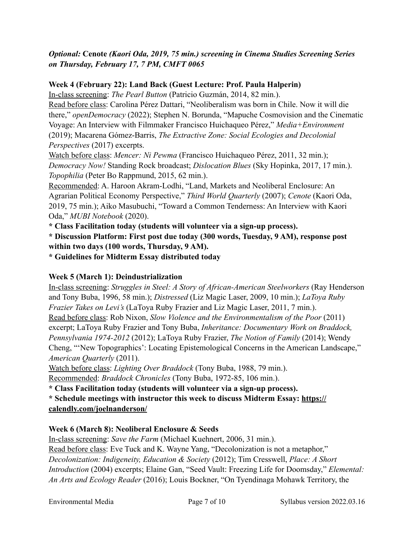## *Optional:* **Cenote** *(Kaori Oda, 2019, 75 min.) screening in Cinema Studies Screening Series on Thursday, February 17, 7 PM, CMFT 0065*

### **Week 4 (February 22): Land Back (Guest Lecture: Prof. Paula Halperin)**

In-class screening: *The Pearl Button* (Patricio Guzmán, 2014, 82 min.).

Read before class: Carolina Pérez Dattari, "Neoliberalism was born in Chile. Now it will die there," *openDemocracy* (2022); Stephen N. Borunda, "Mapuche Cosmovision and the Cinematic Voyage: An Interview with Filmmaker Francisco Huichaqueo Pérez," *Media+Environment*  (2019); Macarena Gómez-Barris, *The Extractive Zone: Social Ecologies and Decolonial Perspectives* (2017) excerpts.

Watch before class: *Mencer: Ni Pewma* (Francisco Huichaqueo Pérez, 2011, 32 min.); *Democracy Now!* Standing Rock broadcast; *Dislocation Blues* (Sky Hopinka, 2017, 17 min.). *Topophilia* (Peter Bo Rappmund, 2015, 62 min.).

Recommended: A. Haroon Akram-Lodhi, "Land, Markets and Neoliberal Enclosure: An Agrarian Political Economy Perspective," *Third World Quarterly* (2007); *Cenote* (Kaori Oda, 2019, 75 min.); Aiko Masubuchi, "Toward a Common Tenderness: An Interview with Kaori Oda," *MUBI Notebook* (2020).

**\* Class Facilitation today (students will volunteer via a sign-up process).**

**\* Discussion Platform: First post due today (300 words, Tuesday, 9 AM), response post within two days (100 words, Thursday, 9 AM).**

**\* Guidelines for Midterm Essay distributed today**

# **Week 5 (March 1): Deindustrialization**

In-class screening: *Struggles in Steel: A Story of African-American Steelworkers* (Ray Henderson and Tony Buba, 1996, 58 min.); *Distressed* (Liz Magic Laser, 2009, 10 min.); *LaToya Ruby Frazier Takes on Levi's* (LaToya Ruby Frazier and Liz Magic Laser, 2011, 7 min.). Read before class: Rob Nixon, *Slow Violence and the Environmentalism of the Poor* (2011) excerpt; LaToya Ruby Frazier and Tony Buba, *Inheritance: Documentary Work on Braddock, Pennsylvania 1974-2012* (2012); LaToya Ruby Frazier, *The Notion of Family* (2014); Wendy Cheng, "'New Topographics': Locating Epistemological Concerns in the American Landscape," *American Quarterly* (2011).

Watch before class: *Lighting Over Braddock* (Tony Buba, 1988, 79 min.).

Recommended: *Braddock Chronicles* (Tony Buba, 1972-85, 106 min.).

**\* Class Facilitation today (students will volunteer via a sign-up process).**

**\* Schedule meetings with instructor this week to discuss Midterm Essay: [https://](https://calendly.com/joelnanderson/)**

**[calendly.com/joelnanderson/](https://calendly.com/joelnanderson/)**

# **Week 6 (March 8): Neoliberal Enclosure & Seeds**

In-class screening: *Save the Farm* (Michael Kuehnert, 2006, 31 min.). Read before class: Eve Tuck and K. Wayne Yang, "Decolonization is not a metaphor," *Decolonization: Indigeneity, Education & Society* (2012); Tim Cresswell, *Place: A Short Introduction* (2004) excerpts; Elaine Gan, "Seed Vault: Freezing Life for Doomsday," *Elemental: An Arts and Ecology Reader* (2016); Louis Bockner, "On Tyendinaga Mohawk Territory, the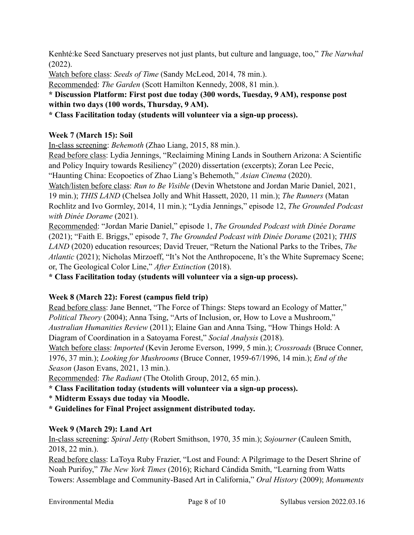Kenhté:ke Seed Sanctuary preserves not just plants, but culture and language, too," *The Narwhal*  (2022).

Watch before class: *Seeds of Time* (Sandy McLeod, 2014, 78 min.).

Recommended: *The Garden* (Scott Hamilton Kennedy, 2008, 81 min.).

**\* Discussion Platform: First post due today (300 words, Tuesday, 9 AM), response post within two days (100 words, Thursday, 9 AM).**

**\* Class Facilitation today (students will volunteer via a sign-up process).**

# **Week 7 (March 15): Soil**

In-class screening: *Behemoth* (Zhao Liang, 2015, 88 min.).

Read before class: Lydia Jennings, "Reclaiming Mining Lands in Southern Arizona: A Scientific and Policy Inquiry towards Resiliency" (2020) dissertation (excerpts); Zoran Lee Pecic,

"Haunting China: Ecopoetics of Zhao Liang's Behemoth," *Asian Cinema* (2020).

Watch/listen before class: *Run to Be Visible* (Devin Whetstone and Jordan Marie Daniel, 2021, 19 min.); *THIS LAND* (Chelsea Jolly and Whit Hassett, 2020, 11 min.); *The Runners* (Matan Rochlitz and Ivo Gormley, 2014, 11 min.); "Lydia Jennings," episode 12, *The Grounded Podcast with Dinée Dorame* (2021).

Recommended: "Jordan Marie Daniel," episode 1, *The Grounded Podcast with Dinée Dorame*  (2021); "Faith E. Briggs," episode 7, *The Grounded Podcast with Dinée Dorame* (2021); *THIS LAND* (2020) education resources; David Treuer, "Return the National Parks to the Tribes, *The Atlantic* (2021); Nicholas Mirzoeff, "It's Not the Anthropocene, It's the White Supremacy Scene; or, The Geological Color Line," *After Extinction* (2018).

**\* Class Facilitation today (students will volunteer via a sign-up process).**

# **Week 8 (March 22): Forest (campus field trip)**

Read before class: Jane Bennet, "The Force of Things: Steps toward an Ecology of Matter," *Political Theory* (2004); Anna Tsing, "Arts of Inclusion, or, How to Love a Mushroom," *Australian Humanities Review* (2011); Elaine Gan and Anna Tsing, "How Things Hold: A Diagram of Coordination in a Satoyama Forest," *Social Analysis* (2018).

Watch before class: *Imported* (Kevin Jerome Everson, 1999, 5 min.); *Crossroads* (Bruce Conner, 1976, 37 min.); *Looking for Mushrooms* (Bruce Conner, 1959-67/1996, 14 min.); *End of the Season* (Jason Evans, 2021, 13 min.).

Recommended: *The Radiant* (The Otolith Group, 2012, 65 min.).

**\* Class Facilitation today (students will volunteer via a sign-up process).**

- \* **Midterm Essays due today via Moodle.**
- **\* Guidelines for Final Project assignment distributed today.**

# **Week 9 (March 29): Land Art**

In-class screening: *Spiral Jetty* (Robert Smithson, 1970, 35 min.); *Sojourner* (Cauleen Smith, 2018, 22 min.).

Read before class: LaToya Ruby Frazier, "Lost and Found: A Pilgrimage to the Desert Shrine of Noah Purifoy," *The New York Times* (2016); Richard Cándida Smith, "Learning from Watts Towers: Assemblage and Community-Based Art in California," *Oral History* (2009); *Monuments*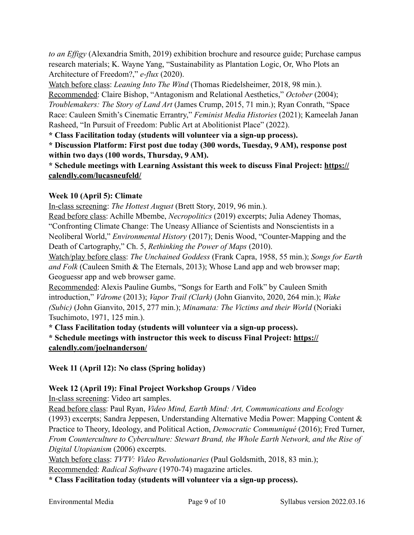*to an Effigy* (Alexandria Smith, 2019) exhibition brochure and resource guide; Purchase campus research materials; K. Wayne Yang, "Sustainability as Plantation Logic, Or, Who Plots an Architecture of Freedom?," *e-flux* (2020).

Watch before class: *Leaning Into The Wind* (Thomas Riedelsheimer, 2018, 98 min.). Recommended: Claire Bishop, "Antagonism and Relational Aesthetics," *October* (2004); *Troublemakers: The Story of Land Art* (James Crump, 2015, 71 min.); Ryan Conrath, "Space Race: Cauleen Smith's Cinematic Errantry," *Feminist Media Histories* (2021); Kameelah Janan Rasheed, "In Pursuit of Freedom: Public Art at Abolitionist Place" (2022).

**\* Class Facilitation today (students will volunteer via a sign-up process).**

**\* Discussion Platform: First post due today (300 words, Tuesday, 9 AM), response post within two days (100 words, Thursday, 9 AM).**

**\* Schedule meetings with Learning Assistant this week to discuss Final Project: [https://](https://calendly.com/lucasneufeld/) [calendly.com/lucasneufeld/](https://calendly.com/lucasneufeld/)**

# **Week 10 (April 5): Climate**

In-class screening: *The Hottest August* (Brett Story, 2019, 96 min.).

Read before class: Achille Mbembe, *Necropolitics* (2019) excerpts; Julia Adeney Thomas, "Confronting Climate Change: The Uneasy Alliance of Scientists and Nonscientists in a Neoliberal World," *Environmental History* (2017); Denis Wood, "Counter-Mapping and the Death of Cartography," Ch. 5, *Rethinking the Power of Maps* (2010).

Watch/play before class: *The Unchained Goddess* (Frank Capra, 1958, 55 min.); *Songs for Earth and Folk* (Cauleen Smith & The Eternals, 2013); Whose Land app and web browser map; Geoguessr app and web browser game.

Recommended: Alexis Pauline Gumbs, "Songs for Earth and Folk" by Cauleen Smith introduction," *Vdrome* (2013); *Vapor Trail (Clark)* (John Gianvito, 2020, 264 min.); *Wake (Subic)* (John Gianvito, 2015, 277 min.); *Minamata: The Victims and their World* (Noriaki Tsuchimoto, 1971, 125 min.).

**\* Class Facilitation today (students will volunteer via a sign-up process). \* Schedule meetings with instructor this week to discuss Final Project: [https://](https://calendly.com/joelnanderson/) [calendly.com/joelnanderson/](https://calendly.com/joelnanderson/)**

**Week 11 (April 12): No class (Spring holiday)** 

# **Week 12 (April 19): Final Project Workshop Groups / Video**

In-class screening: Video art samples.

Read before class: Paul Ryan, *Video Mind, Earth Mind: Art, Communications and Ecology* (1993) excerpts; Sandra Jeppesen, Understanding Alternative Media Power: Mapping Content & Practice to Theory, Ideology, and Political Action, *Democratic Communiqué* (2016); Fred Turner, *From Counterculture to Cyberculture: Stewart Brand, the Whole Earth Network, and the Rise of Digital Utopianism* (2006) excerpts.

Watch before class: *TVTV: Video Revolutionaries* (Paul Goldsmith, 2018, 83 min.); Recommended: *Radical Software* (1970-74) magazine articles.

**\* Class Facilitation today (students will volunteer via a sign-up process).**